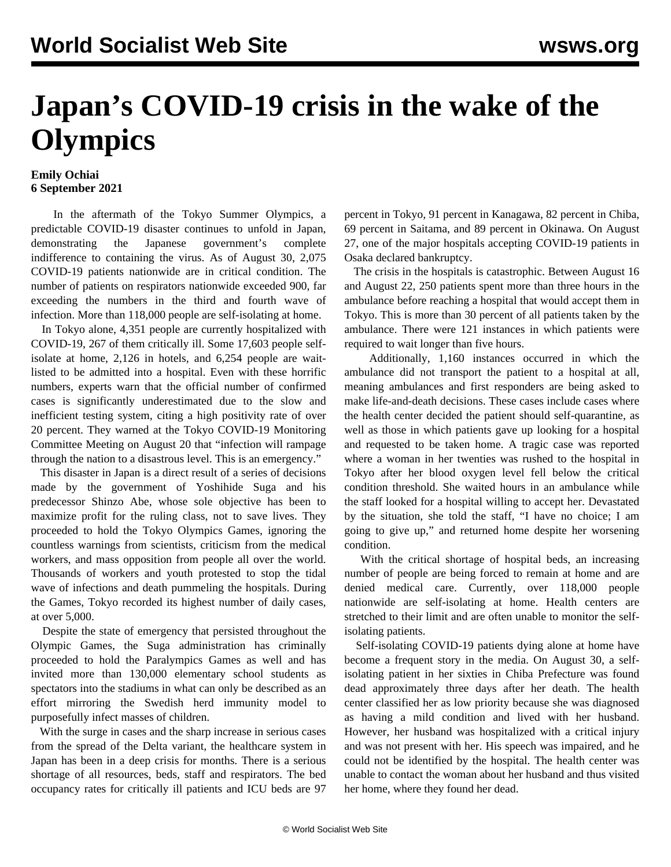## **Japan's COVID-19 crisis in the wake of the Olympics**

## **Emily Ochiai 6 September 2021**

 In the aftermath of the Tokyo Summer Olympics, a predictable COVID-19 disaster continues to unfold in Japan, demonstrating the Japanese government's complete indifference to containing the virus. As of August 30, 2,075 COVID-19 patients nationwide are in critical condition. The number of patients on respirators nationwide exceeded 900, far exceeding the numbers in the third and fourth wave of infection. More than 118,000 people are self-isolating at home.

 In Tokyo alone, 4,351 people are currently hospitalized with COVID-19, 267 of them critically ill. Some 17,603 people selfisolate at home, 2,126 in hotels, and 6,254 people are waitlisted to be admitted into a hospital. Even with these horrific numbers, experts warn that the official number of confirmed cases is significantly underestimated due to the slow and inefficient testing system, citing a high positivity rate of over 20 percent. They warned at the Tokyo COVID-19 Monitoring Committee Meeting on August 20 that "infection will rampage through the nation to a disastrous level. This is an emergency."

 This disaster in Japan is a direct result of a series of decisions made by the government of Yoshihide Suga and his predecessor Shinzo Abe, whose sole objective has been to maximize profit for the ruling class, not to save lives. They proceeded to hold the Tokyo Olympics Games, ignoring the countless warnings from scientists, criticism from the medical workers, and mass opposition from people all over the world. Thousands of workers and youth protested to stop the tidal wave of infections and death pummeling the hospitals. During the Games, Tokyo recorded its highest number of daily cases, at over 5,000.

 Despite the state of emergency that persisted throughout the Olympic Games, the Suga administration has criminally proceeded to hold the Paralympics Games as well and has invited more than 130,000 elementary school students as spectators into the stadiums in what can only be described as an effort mirroring the Swedish herd immunity model to purposefully infect masses of children.

 With the surge in cases and the sharp increase in serious cases from the spread of the Delta variant, the healthcare system in Japan has been in a deep crisis for months. There is a serious shortage of all resources, beds, staff and respirators. The bed occupancy rates for critically ill patients and ICU beds are 97 percent in Tokyo, 91 percent in Kanagawa, 82 percent in Chiba, 69 percent in Saitama, and 89 percent in Okinawa. On August 27, one of the major hospitals accepting COVID-19 patients in Osaka declared bankruptcy.

 The crisis in the hospitals is catastrophic. Between August 16 and August 22, 250 patients spent more than three hours in the ambulance before reaching a hospital that would accept them in Tokyo. This is more than 30 percent of all patients taken by the ambulance. There were 121 instances in which patients were required to wait longer than five hours.

 Additionally, 1,160 instances occurred in which the ambulance did not transport the patient to a hospital at all, meaning ambulances and first responders are being asked to make life-and-death decisions. These cases include cases where the health center decided the patient should self-quarantine, as well as those in which patients gave up looking for a hospital and requested to be taken home. A tragic case was reported where a woman in her twenties was rushed to the hospital in Tokyo after her blood oxygen level fell below the critical condition threshold. She waited hours in an ambulance while the staff looked for a hospital willing to accept her. Devastated by the situation, she told the staff, "I have no choice; I am going to give up," and returned home despite her worsening condition.

 With the critical shortage of hospital beds, an increasing number of people are being forced to remain at home and are denied medical care. Currently, over 118,000 people nationwide are self-isolating at home. Health centers are stretched to their limit and are often unable to monitor the selfisolating patients.

 Self-isolating COVID-19 patients dying alone at home have become a frequent story in the media. On August 30, a selfisolating patient in her sixties in Chiba Prefecture was found dead approximately three days after her death. The health center classified her as low priority because she was diagnosed as having a mild condition and lived with her husband. However, her husband was hospitalized with a critical injury and was not present with her. His speech was impaired, and he could not be identified by the hospital. The health center was unable to contact the woman about her husband and thus visited her home, where they found her dead.